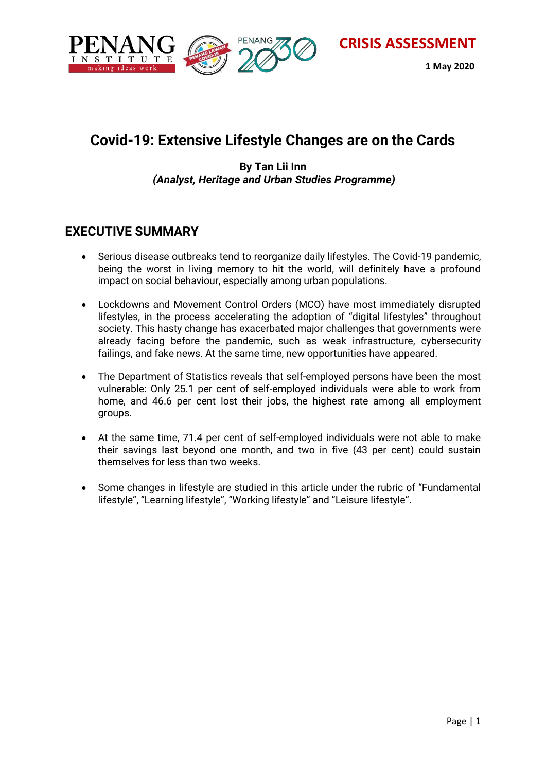

 **1 May 2020**

# **Covid-19: Extensive Lifestyle Changes are on the Cards**

#### **By Tan Lii Inn** *(Analyst, Heritage and Urban Studies Programme)*

#### **EXECUTIVE SUMMARY**

- Serious disease outbreaks tend to reorganize daily lifestyles. The Covid-19 pandemic, being the worst in living memory to hit the world, will definitely have a profound impact on social behaviour, especially among urban populations.
- Lockdowns and Movement Control Orders (MCO) have most immediately disrupted lifestyles, in the process accelerating the adoption of "digital lifestyles" throughout society. This hasty change has exacerbated major challenges that governments were already facing before the pandemic, such as weak infrastructure, cybersecurity failings, and fake news. At the same time, new opportunities have appeared.
- The Department of Statistics reveals that self-employed persons have been the most vulnerable: Only 25.1 per cent of self-employed individuals were able to work from home, and 46.6 per cent lost their jobs, the highest rate among all employment groups.
- At the same time, 71.4 per cent of self-employed individuals were not able to make their savings last beyond one month, and two in five (43 per cent) could sustain themselves for less than two weeks.
- Some changes in lifestyle are studied in this article under the rubric of "Fundamental lifestyle", "Learning lifestyle", "Working lifestyle" and "Leisure lifestyle".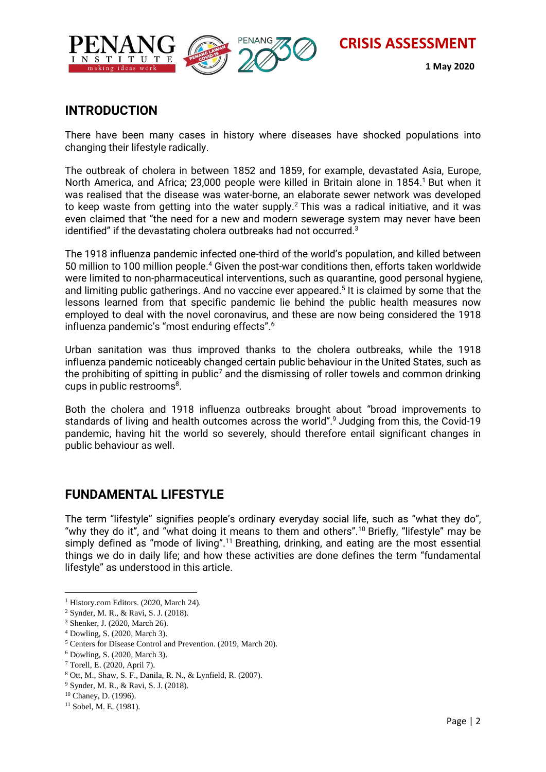

#### **1 May 2020**

#### **INTRODUCTION**

There have been many cases in history where diseases have shocked populations into changing their lifestyle radically.

The outbreak of cholera in between 1852 and 1859, for example, devastated Asia, Europe, North America, and Africa; 23,000 people were killed in Britain alone in 1854. <sup>1</sup> But when it was realised that the disease was water-borne, an elaborate sewer network was developed to keep waste from getting into the water supply.<sup>2</sup> This was a radical initiative, and it was even claimed that "the need for a new and modern sewerage system may never have been identified" if the devastating cholera outbreaks had not occurred. $^3$ 

The 1918 influenza pandemic infected one-third of the world's population, and killed between 50 million to 100 million people.<sup>4</sup> Given the post-war conditions then, efforts taken worldwide were limited to non-pharmaceutical interventions, such as quarantine, good personal hygiene, and limiting public gatherings. And no vaccine ever appeared. 5 It is claimed by some that the lessons learned from that specific pandemic lie behind the public health measures now employed to deal with the novel coronavirus, and these are now being considered the 1918 influenza pandemic's "most enduring effects".<sup>6</sup>

Urban sanitation was thus improved thanks to the cholera outbreaks, while the 1918 influenza pandemic noticeably changed certain public behaviour in the United States, such as the prohibiting of spitting in public<sup>7</sup> and the dismissing of roller towels and common drinking cups in public restrooms $^8$ .

Both the cholera and 1918 influenza outbreaks brought about "broad improvements to standards of living and health outcomes across the world".<sup>9</sup> Judging from this, the Covid-19 pandemic, having hit the world so severely, should therefore entail significant changes in public behaviour as well.

## **FUNDAMENTAL LIFESTYLE**

The term "lifestyle" signifies people's ordinary everyday social life, such as "what they do", "why they do it", and "what doing it means to them and others".<sup>10</sup> Briefly, "lifestyle" may be simply defined as "mode of living".<sup>11</sup> Breathing, drinking, and eating are the most essential things we do in daily life; and how these activities are done defines the term "fundamental lifestyle" as understood in this article.

 $\overline{a}$ <sup>1</sup> History.com Editors. (2020, March 24).

<sup>2</sup> Synder, M. R., & Ravi, S. J. (2018).

<sup>3</sup> Shenker, J. (2020, March 26).

<sup>4</sup> Dowling, S. (2020, March 3).

<sup>5</sup> Centers for Disease Control and Prevention. (2019, March 20).

<sup>6</sup> Dowling, S. (2020, March 3).

<sup>7</sup> Torell, E. (2020, April 7).

<sup>8</sup> Ott, M., Shaw, S. F., Danila, R. N., & Lynfield, R. (2007).

<sup>9</sup> Synder, M. R., & Ravi, S. J. (2018).

<sup>10</sup> Chaney, D. (1996).

<sup>&</sup>lt;sup>11</sup> Sobel, M. E. (1981).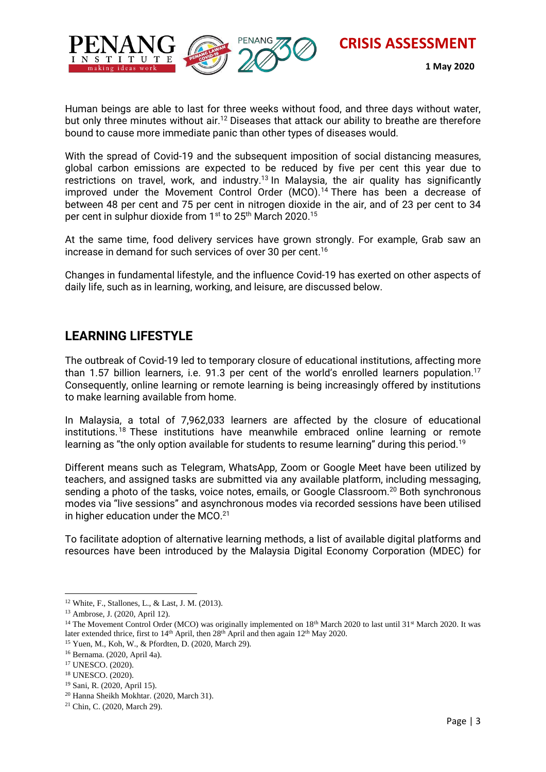

 **1 May 2020**

Human beings are able to last for three weeks without food, and three days without water, but only three minutes without air.<sup>12</sup> Diseases that attack our ability to breathe are therefore bound to cause more immediate panic than other types of diseases would.

With the spread of Covid-19 and the subsequent imposition of social distancing measures, global carbon emissions are expected to be reduced by five per cent this year due to restrictions on travel, work, and industry.<sup>13</sup> In Malaysia, the air quality has significantly improved under the Movement Control Order (MCO). <sup>14</sup> There has been a decrease of between 48 per cent and 75 per cent in nitrogen dioxide in the air, and of 23 per cent to 34 per cent in sulphur dioxide from 1<sup>st</sup> to 25<sup>th</sup> March 2020.<sup>15</sup>

At the same time, food delivery services have grown strongly. For example, Grab saw an increase in demand for such services of over 30 per cent. $^{16}$ 

Changes in fundamental lifestyle, and the influence Covid-19 has exerted on other aspects of daily life, such as in learning, working, and leisure, are discussed below.

#### **LEARNING LIFESTYLE**

The outbreak of Covid-19 led to temporary closure of educational institutions, affecting more than 1.57 billion learners, i.e. 91.3 per cent of the world's enrolled learners population.<sup>17</sup> Consequently, online learning or remote learning is being increasingly offered by institutions to make learning available from home.

In Malaysia, a total of 7,962,033 learners are affected by the closure of educational institutions. <sup>18</sup> These institutions have meanwhile embraced online learning or remote learning as "the only option available for students to resume learning" during this period.<sup>19</sup>

Different means such as Telegram, WhatsApp, Zoom or Google Meet have been utilized by teachers, and assigned tasks are submitted via any available platform, including messaging, sending a photo of the tasks, voice notes, emails, or Google Classroom.<sup>20</sup> Both synchronous modes via "live sessions" and asynchronous modes via recorded sessions have been utilised in higher education under the MCO.<sup>21</sup>

To facilitate adoption of alternative learning methods, a list of available digital platforms and resources have been introduced by the Malaysia Digital Economy Corporation (MDEC) for

 $\overline{a}$ <sup>12</sup> White, F., Stallones, L., & Last, J. M. (2013).

<sup>13</sup> Ambrose, J. (2020, April 12).

<sup>&</sup>lt;sup>14</sup> The Movement Control Order (MCO) was originally implemented on  $18<sup>th</sup>$  March 2020 to last until 31<sup>st</sup> March 2020. It was later extended thrice, first to 14<sup>th</sup> April, then 28<sup>th</sup> April and then again 12<sup>th</sup> May 2020.

<sup>15</sup> Yuen, M., Koh, W., & Pfordten, D. (2020, March 29).

<sup>16</sup> Bernama. (2020, April 4a).

<sup>17</sup> UNESCO. (2020).

<sup>18</sup> UNESCO. (2020).

<sup>19</sup> Sani, R. (2020, April 15).

<sup>20</sup> Hanna Sheikh Mokhtar. (2020, March 31).

<sup>21</sup> Chin, C. (2020, March 29).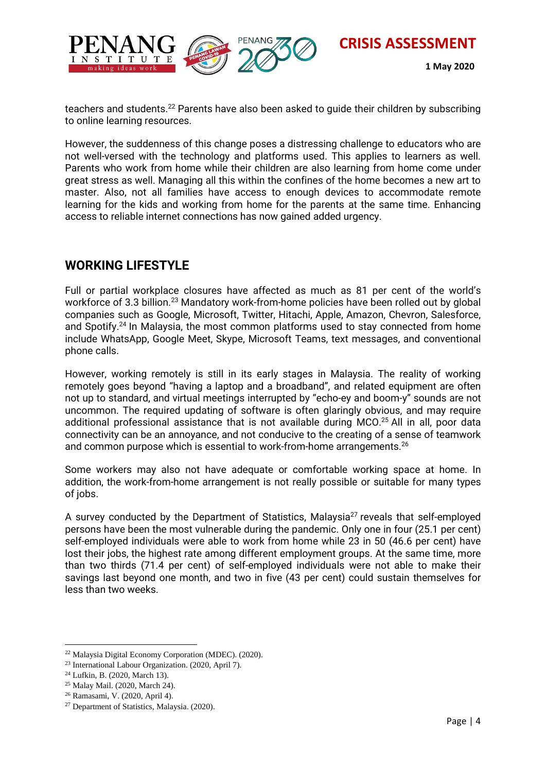

 **1 May 2020**

teachers and students.<sup>22</sup> Parents have also been asked to guide their children by subscribing to online learning resources.

However, the suddenness of this change poses a distressing challenge to educators who are not well-versed with the technology and platforms used. This applies to learners as well. Parents who work from home while their children are also learning from home come under great stress as well. Managing all this within the confines of the home becomes a new art to master. Also, not all families have access to enough devices to accommodate remote learning for the kids and working from home for the parents at the same time. Enhancing access to reliable internet connections has now gained added urgency.

## **WORKING LIFESTYLE**

Full or partial workplace closures have affected as much as 81 per cent of the world's workforce of 3.3 billion.<sup>23</sup> Mandatory work-from-home policies have been rolled out by global companies such as Google, Microsoft, Twitter, Hitachi, Apple, Amazon, Chevron, Salesforce, and Spotify.<sup>24</sup> In Malaysia, the most common platforms used to stay connected from home include WhatsApp, Google Meet, Skype, Microsoft Teams, text messages, and conventional phone calls.

However, working remotely is still in its early stages in Malaysia. The reality of working remotely goes beyond "having a laptop and a broadband", and related equipment are often not up to standard, and virtual meetings interrupted by "echo-ey and boom-y" sounds are not uncommon. The required updating of software is often glaringly obvious, and may require additional professional assistance that is not available during MCO. <sup>25</sup> All in all, poor data connectivity can be an annoyance, and not conducive to the creating of a sense of teamwork and common purpose which is essential to work-from-home arrangements. $^{26}$ 

Some workers may also not have adequate or comfortable working space at home. In addition, the work-from-home arrangement is not really possible or suitable for many types of jobs.

A survey conducted by the Department of Statistics, Malaysia $27$  reveals that self-employed persons have been the most vulnerable during the pandemic. Only one in four (25.1 per cent) self-employed individuals were able to work from home while 23 in 50 (46.6 per cent) have lost their jobs, the highest rate among different employment groups. At the same time, more than two thirds (71.4 per cent) of self-employed individuals were not able to make their savings last beyond one month, and two in five (43 per cent) could sustain themselves for less than two weeks.

 $\overline{\phantom{a}}$ <sup>22</sup> Malaysia Digital Economy Corporation (MDEC). (2020).

<sup>23</sup> International Labour Organization. (2020, April 7).

<sup>24</sup> Lufkin, B. (2020, March 13).

<sup>25</sup> Malay Mail. (2020, March 24).

<sup>26</sup> Ramasami, V. (2020, April 4).

<sup>27</sup> Department of Statistics, Malaysia. (2020).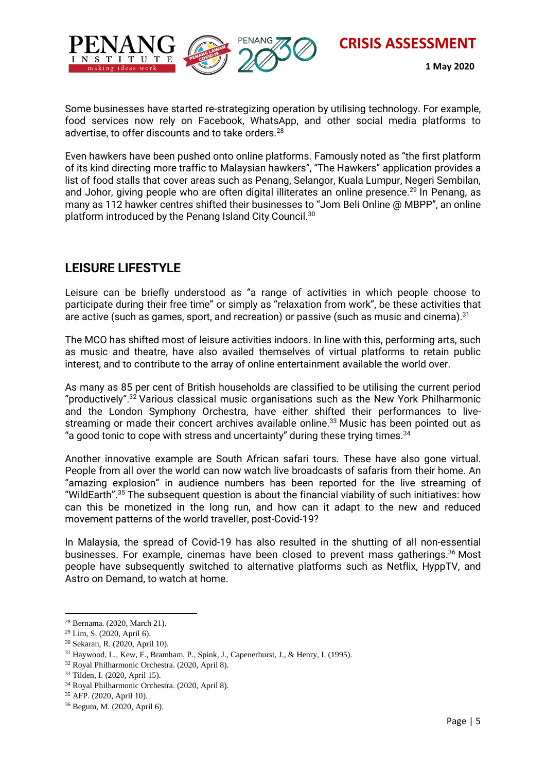

 **1 May 2020**

Some businesses have started re-strategizing operation by utilising technology. For example, food services now rely on Facebook, WhatsApp, and other social media platforms to advertise, to offer discounts and to take orders. 28

Even hawkers have been pushed onto online platforms. Famously noted as "the first platform of its kind directing more traffic to Malaysian hawkers", "The Hawkers" application provides a list of food stalls that cover areas such as Penang, Selangor, Kuala Lumpur, Negeri Sembilan, and Johor, giving people who are often digital illiterates an online presence.<sup>29</sup> In Penang, as many as 112 hawker centres shifted their businesses to "Jom Beli Online @ MBPP", an online platform introduced by the Penang Island City Council.<sup>30</sup>

## **LEISURE LIFESTYLE**

Leisure can be briefly understood as "a range of activities in which people choose to participate during their free time" or simply as "relaxation from work", be these activities that are active (such as games, sport, and recreation) or passive (such as music and cinema). $31$ 

The MCO has shifted most of leisure activities indoors. In line with this, performing arts, such as music and theatre, have also availed themselves of virtual platforms to retain public interest, and to contribute to the array of online entertainment available the world over.

As many as 85 per cent of British households are classified to be utilising the current period "productively".<sup>32</sup> Various classical music organisations such as the New York Philharmonic and the London Symphony Orchestra, have either shifted their performances to livestreaming or made their concert archives available online.<sup>33</sup> Music has been pointed out as "a good tonic to cope with stress and uncertainty" during these trying times. $^{\rm 34}$ 

Another innovative example are South African safari tours. These have also gone virtual. People from all over the world can now watch live broadcasts of safaris from their home. An "amazing explosion" in audience numbers has been reported for the live streaming of "WildEarth". <sup>35</sup> The subsequent question is about the financial viability of such initiatives: how can this be monetized in the long run, and how can it adapt to the new and reduced movement patterns of the world traveller, post-Covid-19?

In Malaysia, the spread of Covid-19 has also resulted in the shutting of all non-essential businesses. For example, cinemas have been closed to prevent mass gatherings.<sup>36</sup> Most people have subsequently switched to alternative platforms such as Netflix, HyppTV, and Astro on Demand, to watch at home.

 $\overline{\phantom{a}}$ 

<sup>28</sup> Bernama. (2020, March 21).

<sup>29</sup> Lim, S. (2020, April 6).

<sup>30</sup> Sekaran, R. (2020, April 10).

<sup>31</sup> Haywood, L., Kew, F., Bramham, P., Spink, J., Capenerhurst, J., & Henry, I. (1995).

<sup>32</sup> Royal Philharmonic Orchestra. (2020, April 8).

<sup>33</sup> Tilden, I. (2020, April 15).

<sup>34</sup> Royal Philharmonic Orchestra. (2020, April 8).

<sup>35</sup> AFP. (2020, April 10).

<sup>36</sup> Begum, M. (2020, April 6).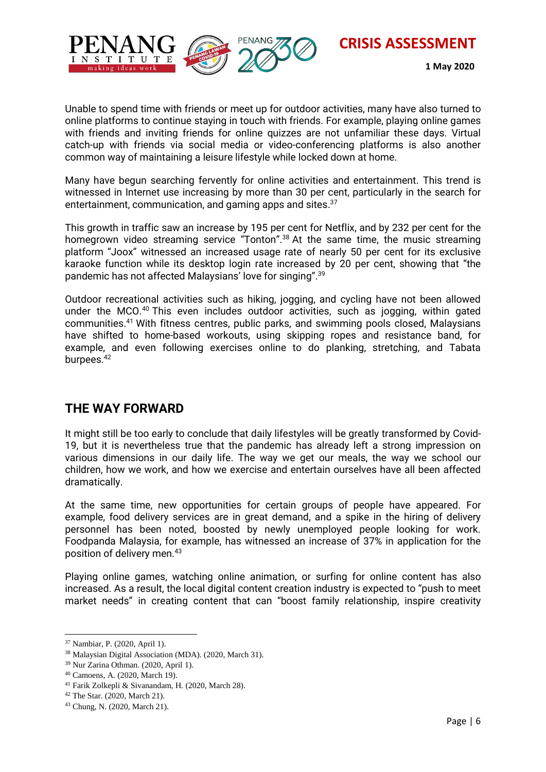making ideas worl

**CRISIS ASSESSMENT**

 **1 May 2020**

Unable to spend time with friends or meet up for outdoor activities, many have also turned to online platforms to continue staying in touch with friends. For example, playing online games with friends and inviting friends for online quizzes are not unfamiliar these days. Virtual catch-up with friends via social media or video-conferencing platforms is also another common way of maintaining a leisure lifestyle while locked down at home.

Many have begun searching fervently for online activities and entertainment. This trend is witnessed in Internet use increasing by more than 30 per cent, particularly in the search for entertainment, communication, and gaming apps and sites. 37

This growth in traffic saw an increase by 195 per cent for Netflix, and by 232 per cent for the homegrown video streaming service "Tonton".<sup>38</sup> At the same time, the music streaming platform "Joox" witnessed an increased usage rate of nearly 50 per cent for its exclusive karaoke function while its desktop login rate increased by 20 per cent, showing that "the pandemic has not affected Malaysians' love for singing".<sup>39</sup>

Outdoor recreational activities such as hiking, jogging, and cycling have not been allowed under the MCO.<sup>40</sup> This even includes outdoor activities, such as jogging, within gated communities.<sup>41</sup> With fitness centres, public parks, and swimming pools closed, Malaysians have shifted to home-based workouts, using skipping ropes and resistance band, for example, and even following exercises online to do planking, stretching, and Tabata burpees.<sup>42</sup>

#### **THE WAY FORWARD**

It might still be too early to conclude that daily lifestyles will be greatly transformed by Covid-19, but it is nevertheless true that the pandemic has already left a strong impression on various dimensions in our daily life. The way we get our meals, the way we school our children, how we work, and how we exercise and entertain ourselves have all been affected dramatically.

At the same time, new opportunities for certain groups of people have appeared. For example, food delivery services are in great demand, and a spike in the hiring of delivery personnel has been noted, boosted by newly unemployed people looking for work. Foodpanda Malaysia, for example, has witnessed an increase of 37% in application for the position of delivery men.<sup>43</sup>

Playing online games, watching online animation, or surfing for online content has also increased. As a result, the local digital content creation industry is expected to "push to meet market needs" in creating content that can "boost family relationship, inspire creativity

 $\overline{\phantom{a}}$ 

<sup>37</sup> Nambiar, P. (2020, April 1).

<sup>38</sup> Malaysian Digital Association (MDA). (2020, March 31).

<sup>39</sup> Nur Zarina Othman. (2020, April 1).

<sup>40</sup> Camoens, A. (2020, March 19).

<sup>41</sup> Farik Zolkepli & Sivanandam, H. (2020, March 28).

<sup>42</sup> The Star. (2020, March 21).

<sup>43</sup> Chung, N. (2020, March 21).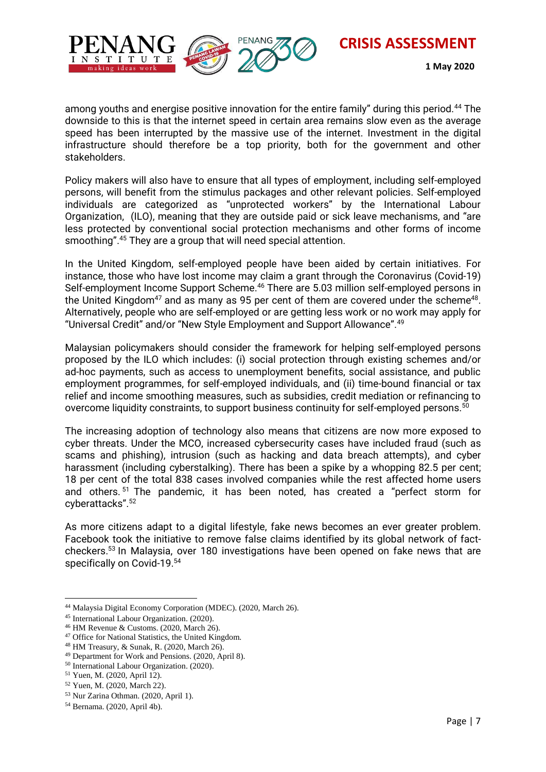

 **1 May 2020**

among youths and energise positive innovation for the entire family" during this period.<sup>44</sup> The downside to this is that the internet speed in certain area remains slow even as the average speed has been interrupted by the massive use of the internet. Investment in the digital infrastructure should therefore be a top priority, both for the government and other stakeholders.

Policy makers will also have to ensure that all types of employment, including self-employed persons, will benefit from the stimulus packages and other relevant policies. Self-employed individuals are categorized as "unprotected workers" by the International Labour Organization, (ILO), meaning that they are outside paid or sick leave mechanisms, and "are less protected by conventional social protection mechanisms and other forms of income smoothing".<sup>45</sup> They are a group that will need special attention.

In the United Kingdom, self-employed people have been aided by certain initiatives. For instance, those who have lost income may claim a grant through the Coronavirus (Covid-19) Self-employment Income Support Scheme.<sup>46</sup> There are 5.03 million self-employed persons in the United Kingdom<sup>47</sup> and as many as 95 per cent of them are covered under the scheme<sup>48</sup>. Alternatively, people who are self-employed or are getting less work or no work may apply for "Universal Credit" and/or "New Style Employment and Support Allowance".<sup>49</sup>

Malaysian policymakers should consider the framework for helping self-employed persons proposed by the ILO which includes: (i) social protection through existing schemes and/or ad-hoc payments, such as access to unemployment benefits, social assistance, and public employment programmes, for self-employed individuals, and (ii) time-bound financial or tax relief and income smoothing measures, such as subsidies, credit mediation or refinancing to overcome liquidity constraints, to support business continuity for self-employed persons.<sup>50</sup>

The increasing adoption of technology also means that citizens are now more exposed to cyber threats. Under the MCO, increased cybersecurity cases have included fraud (such as scams and phishing), intrusion (such as hacking and data breach attempts), and cyber harassment (including cyberstalking). There has been a spike by a whopping 82.5 per cent; 18 per cent of the total 838 cases involved companies while the rest affected home users and others. <sup>51</sup> The pandemic, it has been noted, has created a "perfect storm for cyberattacks".<sup>52</sup>

As more citizens adapt to a digital lifestyle, fake news becomes an ever greater problem. Facebook took the initiative to remove false claims identified by its global network of factcheckers.<sup>53</sup> In Malaysia, over 180 investigations have been opened on fake news that are specifically on Covid-19.<sup>54</sup>

 $\overline{a}$ <sup>44</sup> Malaysia Digital Economy Corporation (MDEC). (2020, March 26).

<sup>45</sup> International Labour Organization. (2020).

<sup>46</sup> HM Revenue & Customs. (2020, March 26).

<sup>47</sup> Office for National Statistics, the United Kingdom.

<sup>48</sup> HM Treasury, & Sunak, R. (2020, March 26).

<sup>49</sup> Department for Work and Pensions. (2020, April 8).

<sup>50</sup> International Labour Organization. (2020).

<sup>51</sup> Yuen, M. (2020, April 12).

<sup>52</sup> Yuen, M. (2020, March 22).

<sup>53</sup> Nur Zarina Othman. (2020, April 1).

<sup>54</sup> Bernama. (2020, April 4b).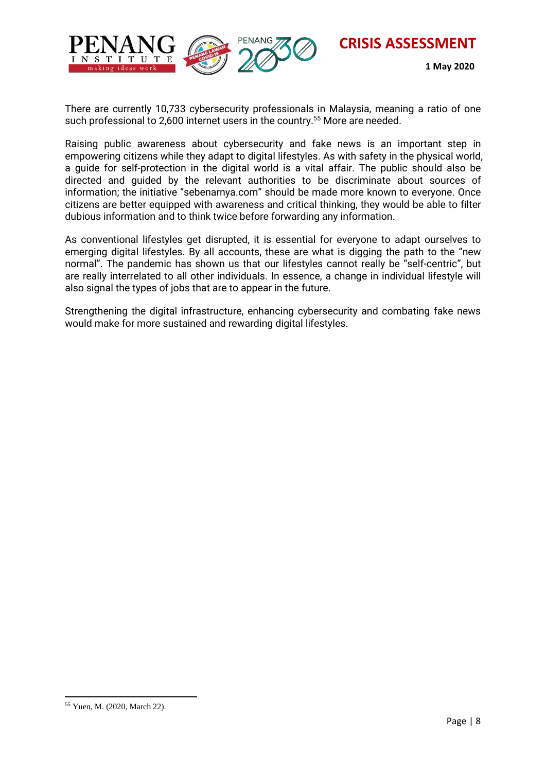

There are currently 10,733 cybersecurity professionals in Malaysia, meaning a ratio of one such professional to 2,600 internet users in the country.<sup>55</sup> More are needed.

Raising public awareness about cybersecurity and fake news is an important step in empowering citizens while they adapt to digital lifestyles. As with safety in the physical world, a guide for self-protection in the digital world is a vital affair. The public should also be directed and guided by the relevant authorities to be discriminate about sources of information; the initiative "sebenarnya.com" should be made more known to everyone. Once citizens are better equipped with awareness and critical thinking, they would be able to filter dubious information and to think twice before forwarding any information.

As conventional lifestyles get disrupted, it is essential for everyone to adapt ourselves to emerging digital lifestyles. By all accounts, these are what is digging the path to the "new normal". The pandemic has shown us that our lifestyles cannot really be "self-centric", but are really interrelated to all other individuals. In essence, a change in individual lifestyle will also signal the types of jobs that are to appear in the future.

Strengthening the digital infrastructure, enhancing cybersecurity and combating fake news would make for more sustained and rewarding digital lifestyles.

 $\overline{a}$ 

<sup>55</sup> Yuen, M. (2020, March 22).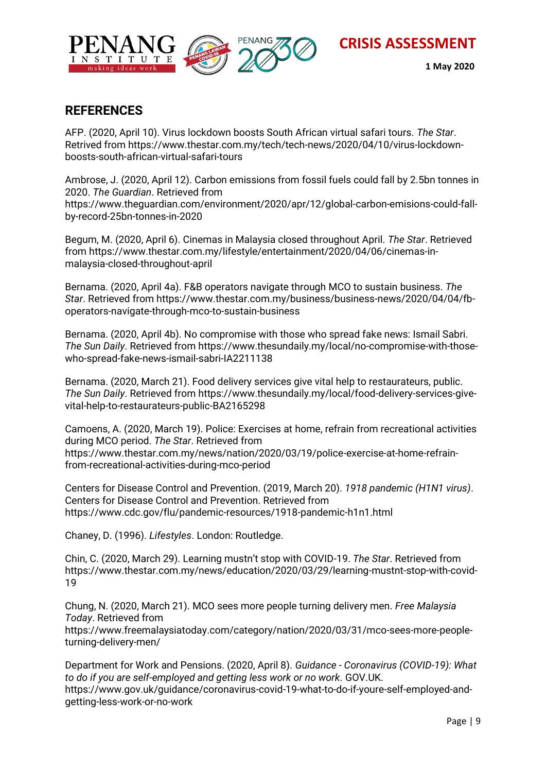

#### **REFERENCES**

AFP. (2020, April 10). Virus lockdown boosts South African virtual safari tours. *The Star*. Retrived from https://www.thestar.com.my/tech/tech-news/2020/04/10/virus-lockdownboosts-south-african-virtual-safari-tours

Ambrose, J. (2020, April 12). Carbon emissions from fossil fuels could fall by 2.5bn tonnes in 2020. *The Guardian*. Retrieved from https://www.theguardian.com/environment/2020/apr/12/global-carbon-emisions-could-fallby-record-25bn-tonnes-in-2020

Begum, M. (2020, April 6). Cinemas in Malaysia closed throughout April. *The Star*. Retrieved from https://www.thestar.com.my/lifestyle/entertainment/2020/04/06/cinemas-inmalaysia-closed-throughout-april

Bernama. (2020, April 4a). F&B operators navigate through MCO to sustain business. *The Star*. Retrieved from https://www.thestar.com.my/business/business-news/2020/04/04/fboperators-navigate-through-mco-to-sustain-business

Bernama. (2020, April 4b). No compromise with those who spread fake news: Ismail Sabri. *The Sun Daily*. Retrieved from https://www.thesundaily.my/local/no-compromise-with-thosewho-spread-fake-news-ismail-sabri-IA2211138

Bernama. (2020, March 21). Food delivery services give vital help to restaurateurs, public. *The Sun Daily*. Retrieved from https://www.thesundaily.my/local/food-delivery-services-givevital-help-to-restaurateurs-public-BA2165298

Camoens, A. (2020, March 19). Police: Exercises at home, refrain from recreational activities during MCO period. *The Star*. Retrieved from https://www.thestar.com.my/news/nation/2020/03/19/police-exercise-at-home-refrainfrom-recreational-activities-during-mco-period

Centers for Disease Control and Prevention. (2019, March 20). *1918 pandemic (H1N1 virus)*. Centers for Disease Control and Prevention. Retrieved from https://www.cdc.gov/flu/pandemic-resources/1918-pandemic-h1n1.html

Chaney, D. (1996). *Lifestyles*. London: Routledge.

Chin, C. (2020, March 29). Learning mustn't stop with COVID-19. *The Star*. Retrieved from https://www.thestar.com.my/news/education/2020/03/29/learning-mustnt-stop-with-covid-19

Chung, N. (2020, March 21). MCO sees more people turning delivery men. *Free Malaysia Today*. Retrieved from

https://www.freemalaysiatoday.com/category/nation/2020/03/31/mco-sees-more-peopleturning-delivery-men/

Department for Work and Pensions. (2020, April 8). *Guidance - Coronavirus (COVID-19): What to do if you are self-employed and getting less work or no work*. GOV.UK. https://www.gov.uk/guidance/coronavirus-covid-19-what-to-do-if-youre-self-employed-andgetting-less-work-or-no-work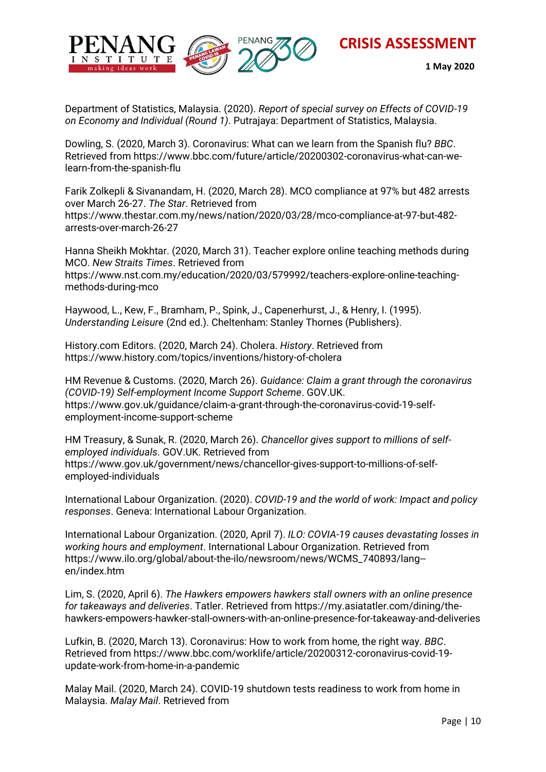



Department of Statistics, Malaysia. (2020). *Report of special survey on Effects of COVID-19 on Economy and Individual (Round 1)*. Putrajaya: Department of Statistics, Malaysia.

Dowling, S. (2020, March 3). Coronavirus: What can we learn from the Spanish flu? *BBC*. Retrieved from https://www.bbc.com/future/article/20200302-coronavirus-what-can-welearn-from-the-spanish-flu

Farik Zolkepli & Sivanandam, H. (2020, March 28). MCO compliance at 97% but 482 arrests over March 26-27. *The Star*. Retrieved from https://www.thestar.com.my/news/nation/2020/03/28/mco-compliance-at-97-but-482 arrests-over-march-26-27

Hanna Sheikh Mokhtar. (2020, March 31). Teacher explore online teaching methods during MCO. *New Straits Times*. Retrieved from https://www.nst.com.my/education/2020/03/579992/teachers-explore-online-teachingmethods-during-mco

Haywood, L., Kew, F., Bramham, P., Spink, J., Capenerhurst, J., & Henry, I. (1995). *Understanding Leisure* (2nd ed.). Cheltenham: Stanley Thornes (Publishers).

History.com Editors. (2020, March 24). Cholera. *History*. Retrieved from https://www.history.com/topics/inventions/history-of-cholera

HM Revenue & Customs. (2020, March 26). *Guidance: Claim a grant through the coronavirus (COVID-19) Self-employment Income Support Scheme*. GOV.UK. https://www.gov.uk/guidance/claim-a-grant-through-the-coronavirus-covid-19-selfemployment-income-support-scheme

HM Treasury, & Sunak, R. (2020, March 26). *Chancellor gives support to millions of selfemployed individuals*. GOV.UK. Retrieved from https://www.gov.uk/government/news/chancellor-gives-support-to-millions-of-selfemployed-individuals

International Labour Organization. (2020). *COVID-19 and the world of work: Impact and policy responses*. Geneva: International Labour Organization.

International Labour Organization. (2020, April 7). *ILO: COVIA-19 causes devastating losses in working hours and employment*. International Labour Organization. Retrieved from https://www.ilo.org/global/about-the-ilo/newsroom/news/WCMS\_740893/lang- en/index.htm

Lim, S. (2020, April 6). *The Hawkers empowers hawkers stall owners with an online presence for takeaways and deliveries*. Tatler. Retrieved from https://my.asiatatler.com/dining/thehawkers-empowers-hawker-stall-owners-with-an-online-presence-for-takeaway-and-deliveries

Lufkin, B. (2020, March 13). Coronavirus: How to work from home, the right way. *BBC*. Retrieved from https://www.bbc.com/worklife/article/20200312-coronavirus-covid-19 update-work-from-home-in-a-pandemic

Malay Mail. (2020, March 24). COVID-19 shutdown tests readiness to work from home in Malaysia. *Malay Mail*. Retrieved from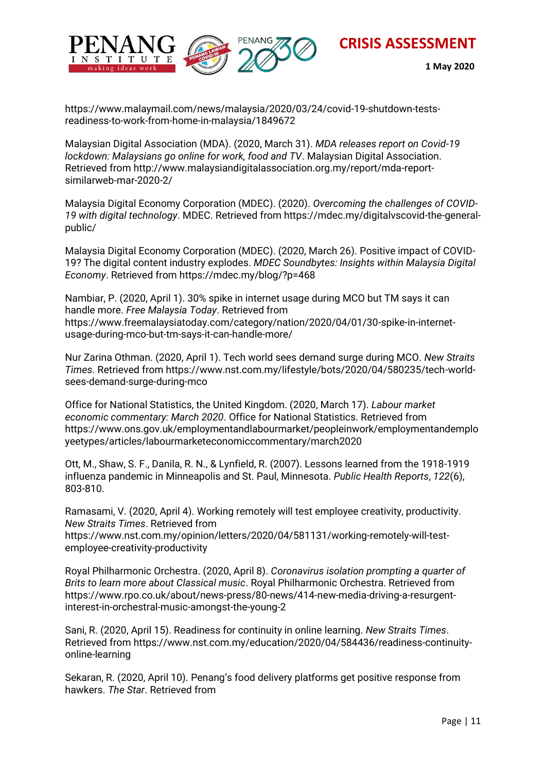



 **1 May 2020**

https://www.malaymail.com/news/malaysia/2020/03/24/covid-19-shutdown-testsreadiness-to-work-from-home-in-malaysia/1849672

Malaysian Digital Association (MDA). (2020, March 31). *MDA releases report on Covid-19 lockdown: Malaysians go online for work, food and TV*. Malaysian Digital Association. Retrieved from http://www.malaysiandigitalassociation.org.my/report/mda-reportsimilarweb-mar-2020-2/

Malaysia Digital Economy Corporation (MDEC). (2020). *Overcoming the challenges of COVID-19 with digital technology*. MDEC. Retrieved from https://mdec.my/digitalvscovid-the-generalpublic/

Malaysia Digital Economy Corporation (MDEC). (2020, March 26). Positive impact of COVID-19? The digital content industry explodes. *MDEC Soundbytes: Insights within Malaysia Digital Economy*. Retrieved from https://mdec.my/blog/?p=468

Nambiar, P. (2020, April 1). 30% spike in internet usage during MCO but TM says it can handle more. *Free Malaysia Today*. Retrieved from https://www.freemalaysiatoday.com/category/nation/2020/04/01/30-spike-in-internetusage-during-mco-but-tm-says-it-can-handle-more/

Nur Zarina Othman. (2020, April 1). Tech world sees demand surge during MCO. *New Straits Times*. Retrieved from https://www.nst.com.my/lifestyle/bots/2020/04/580235/tech-worldsees-demand-surge-during-mco

Office for National Statistics, the United Kingdom. (2020, March 17). *Labour market economic commentary: March 2020*. Office for National Statistics. Retrieved from https://www.ons.gov.uk/employmentandlabourmarket/peopleinwork/employmentandemplo yeetypes/articles/labourmarketeconomiccommentary/march2020

Ott, M., Shaw, S. F., Danila, R. N., & Lynfield, R. (2007). Lessons learned from the 1918-1919 influenza pandemic in Minneapolis and St. Paul, Minnesota. *Public Health Reports*, *122*(6), 803-810.

Ramasami, V. (2020, April 4). Working remotely will test employee creativity, productivity. *New Straits Times*. Retrieved from

https://www.nst.com.my/opinion/letters/2020/04/581131/working-remotely-will-testemployee-creativity-productivity

Royal Philharmonic Orchestra. (2020, April 8). *Coronavirus isolation prompting a quarter of Brits to learn more about Classical music*. Royal Philharmonic Orchestra. Retrieved from https://www.rpo.co.uk/about/news-press/80-news/414-new-media-driving-a-resurgentinterest-in-orchestral-music-amongst-the-young-2

Sani, R. (2020, April 15). Readiness for continuity in online learning. *New Straits Times*. Retrieved from https://www.nst.com.my/education/2020/04/584436/readiness-continuityonline-learning

Sekaran, R. (2020, April 10). Penang's food delivery platforms get positive response from hawkers. *The Star*. Retrieved from